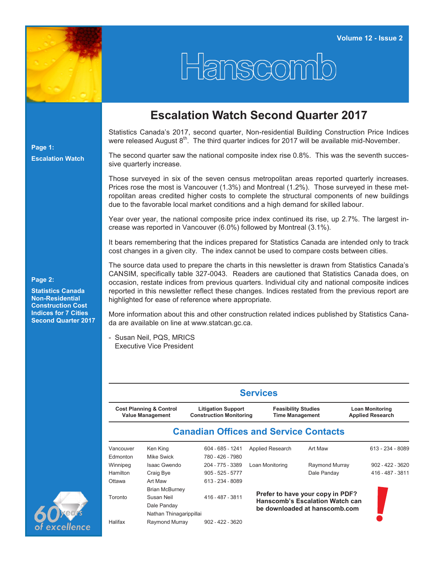

## Hanscom

## **Escalation Watch Second Quarter 2017**

Statistics Canada's 2017, second quarter, Non-residential Building Construction Price Indices were released August  $8<sup>th</sup>$ . The third quarter indices for 2017 will be available mid-November.

The second quarter saw the national composite index rise 0.8%. This was the seventh successive quarterly increase.

Those surveyed in six of the seven census metropolitan areas reported quarterly increases. Prices rose the most is Vancouver (1.3%) and Montreal (1.2%). Those surveyed in these metropolitan areas credited higher costs to complete the structural components of new buildings due to the favorable local market conditions and a high demand for skilled labour.

Year over year, the national composite price index continued its rise, up 2.7%. The largest increase was reported in Vancouver (6.0%) followed by Montreal (3.1%).

It bears remembering that the indices prepared for Statistics Canada are intended only to track cost changes in a given city. The index cannot be used to compare costs between cities.

The source data used to prepare the charts in this newsletter is drawn from Statistics Canada's CANSIM, specifically table 327-0043. Readers are cautioned that Statistics Canada does, on occasion, restate indices from previous quarters. Individual city and national composite indices reported in this newsletter reflect these changes. Indices restated from the previous report are highlighted for ease of reference where appropriate.

More information about this and other construction related indices published by Statistics Canada are available on line at www.statcan.gc.ca.

- Susan Neil, PQS, MRICS Executive Vice President

|           |                                                               | <b>Services</b>                                             |                                                      |                                                                            |                                                   |  |  |  |  |  |  |
|-----------|---------------------------------------------------------------|-------------------------------------------------------------|------------------------------------------------------|----------------------------------------------------------------------------|---------------------------------------------------|--|--|--|--|--|--|
|           | <b>Cost Planning &amp; Control</b><br><b>Value Management</b> | <b>Litigation Support</b><br><b>Construction Monitoring</b> | <b>Feasibility Studies</b><br><b>Time Management</b> |                                                                            | <b>Loan Monitoring</b><br><b>Applied Research</b> |  |  |  |  |  |  |
|           |                                                               | <b>Canadian Offices and Service Contacts</b>                |                                                      |                                                                            |                                                   |  |  |  |  |  |  |
| Vancouver | Ken King                                                      | 604 - 685 - 1241                                            | <b>Applied Research</b>                              | Art Maw                                                                    | $613 - 234 - 8089$                                |  |  |  |  |  |  |
| Edmonton  | Mike Swick                                                    | 780 - 426 - 7980                                            |                                                      |                                                                            |                                                   |  |  |  |  |  |  |
| Winnipeg  | Isaac Gwendo                                                  | 204 - 775 - 3389                                            | Loan Monitoring                                      | Raymond Murray                                                             | $902 - 422 - 3620$                                |  |  |  |  |  |  |
| Hamilton  | Craig Bye                                                     | $905 - 525 - 5777$                                          |                                                      | Dale Panday                                                                | 416 - 487 - 3811                                  |  |  |  |  |  |  |
| Ottawa    | Art Maw                                                       | 613 - 234 - 8089                                            |                                                      |                                                                            |                                                   |  |  |  |  |  |  |
|           | <b>Brian McBurney</b>                                         |                                                             |                                                      |                                                                            |                                                   |  |  |  |  |  |  |
| Toronto   | Susan Neil                                                    | 416 - 487 - 3811                                            |                                                      | Prefer to have your copy in PDF?<br><b>Hanscomb's Escalation Watch can</b> |                                                   |  |  |  |  |  |  |
|           | Dale Panday                                                   |                                                             |                                                      | be downloaded at hanscomb.com                                              |                                                   |  |  |  |  |  |  |
|           | Nathan Thinagarippillai                                       |                                                             |                                                      |                                                                            |                                                   |  |  |  |  |  |  |
| Halifax   | Raymond Murray                                                | $902 - 422 - 3620$                                          |                                                      |                                                                            |                                                   |  |  |  |  |  |  |



**Page 1: Escalation Watch**

**Page 2:**

**Statistics Canada Non-Residential Construction Cost Indices for 7 Cities Second Quarter 2017**